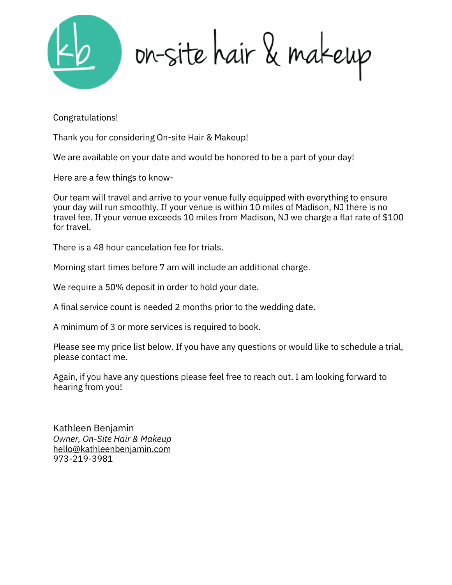

on-site hair & makeup

Congratulations!

Thank you for considering On-site Hair & Makeup!

We are available on your date and would be honored to be a part of your day!

Here are a few things to know-

Our team will travel and arrive to your venue fully equipped with everything to ensure your day will run smoothly. If your venue is within 10 miles of Madison, NJ there is no travel fee. If your venue exceeds 10 miles from Madison, NJ we charge a flat rate of \$100 for travel.

There is a 48 hour cancelation fee for trials.

Morning start times before 7 am will include an additional charge.

We require a 50% deposit in order to hold your date.

A final service count is needed 2 months prior to the wedding date.

A minimum of 3 or more services is required to book.

Please see my price list below. If you have any questions or would like to schedule a trial, please contact me.

Again, if you have any questions please feel free to reach out. I am looking forward to hearing from you!

*Owner, On-Site Hair & Makeup* hello@kathleenbenjamin.com 973-219-3981 Kathleen Benjamin